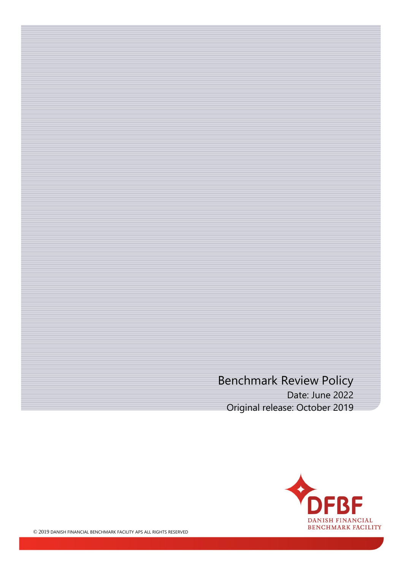# Benchmark Review Policy Date: June 2022 Original release: October 2019

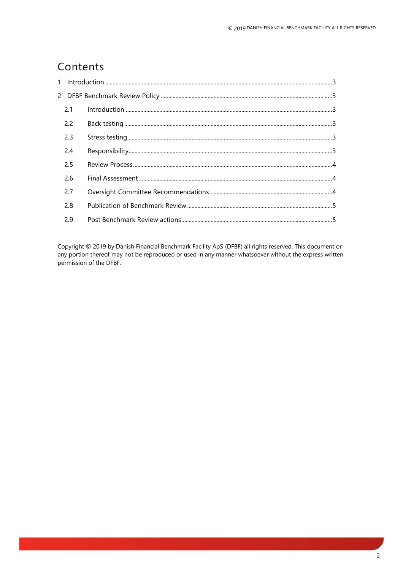# Contents

| 2.1 |  |
|-----|--|
| 2.2 |  |
| 2.3 |  |
| 2.4 |  |
| 2.5 |  |
| 2.6 |  |
| 2.7 |  |
| 2.8 |  |
| 2.9 |  |

Copyright © 2019 by Danish Financial Benchmark Facility ApS (DFBF) all rights reserved. This document or any portion thereof may not be reproduced or used in any manner whatsoever without the express written permission of the DFBF.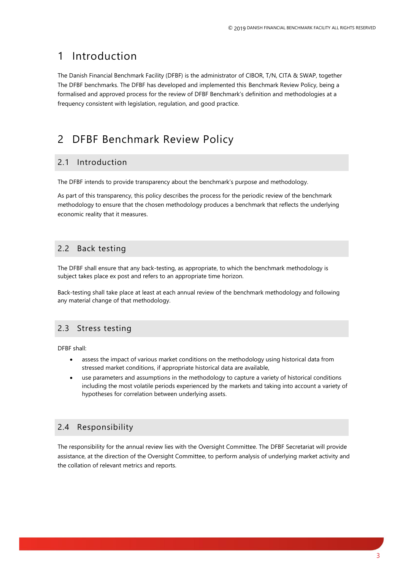# <span id="page-2-0"></span>1 Introduction

The Danish Financial Benchmark Facility (DFBF) is the administrator of CIBOR, T/N, CITA & SWAP, together The DFBF benchmarks. The DFBF has developed and implemented this Benchmark Review Policy, being a formalised and approved process for the review of DFBF Benchmark's definition and methodologies at a frequency consistent with legislation, regulation, and good practice.

# <span id="page-2-1"></span>2 DFBF Benchmark Review Policy

### <span id="page-2-2"></span>2.1 Introduction

The DFBF intends to provide transparency about the benchmark's purpose and methodology.

As part of this transparency, this policy describes the process for the periodic review of the benchmark methodology to ensure that the chosen methodology produces a benchmark that reflects the underlying economic reality that it measures.

## <span id="page-2-3"></span>2.2 Back testing

The DFBF shall ensure that any back-testing, as appropriate, to which the benchmark methodology is subject takes place ex post and refers to an appropriate time horizon.

Back-testing shall take place at least at each annual review of the benchmark methodology and following any material change of that methodology.

## <span id="page-2-4"></span>2.3 Stress testing

DFBF shall:

- assess the impact of various market conditions on the methodology using historical data from stressed market conditions, if appropriate historical data are available,
- use parameters and assumptions in the methodology to capture a variety of historical conditions including the most volatile periods experienced by the markets and taking into account a variety of hypotheses for correlation between underlying assets.

## <span id="page-2-5"></span>2.4 Responsibility

The responsibility for the annual review lies with the Oversight Committee. The DFBF Secretariat will provide assistance, at the direction of the Oversight Committee, to perform analysis of underlying market activity and the collation of relevant metrics and reports.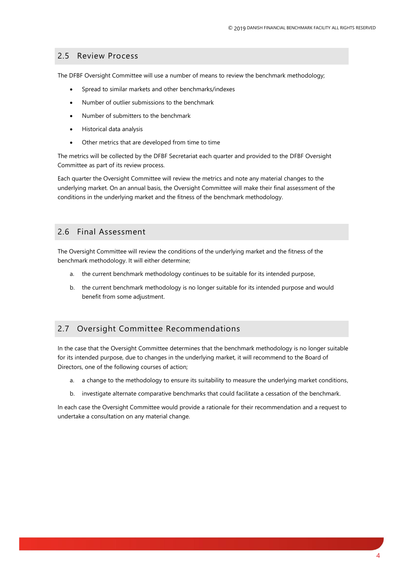#### <span id="page-3-0"></span>2.5 Review Process

The DFBF Oversight Committee will use a number of means to review the benchmark methodology;

- Spread to similar markets and other benchmarks/indexes
- Number of outlier submissions to the benchmark
- Number of submitters to the benchmark
- Historical data analysis
- Other metrics that are developed from time to time

The metrics will be collected by the DFBF Secretariat each quarter and provided to the DFBF Oversight Committee as part of its review process.

Each quarter the Oversight Committee will review the metrics and note any material changes to the underlying market. On an annual basis, the Oversight Committee will make their final assessment of the conditions in the underlying market and the fitness of the benchmark methodology.

#### <span id="page-3-1"></span>2.6 Final Assessment

The Oversight Committee will review the conditions of the underlying market and the fitness of the benchmark methodology. It will either determine;

- a. the current benchmark methodology continues to be suitable for its intended purpose,
- b. the current benchmark methodology is no longer suitable for its intended purpose and would benefit from some adjustment.

### <span id="page-3-2"></span>2.7 Oversight Committee Recommendations

In the case that the Oversight Committee determines that the benchmark methodology is no longer suitable for its intended purpose, due to changes in the underlying market, it will recommend to the Board of Directors, one of the following courses of action;

- a. a change to the methodology to ensure its suitability to measure the underlying market conditions,
- b. investigate alternate comparative benchmarks that could facilitate a cessation of the benchmark.

In each case the Oversight Committee would provide a rationale for their recommendation and a request to undertake a consultation on any material change.